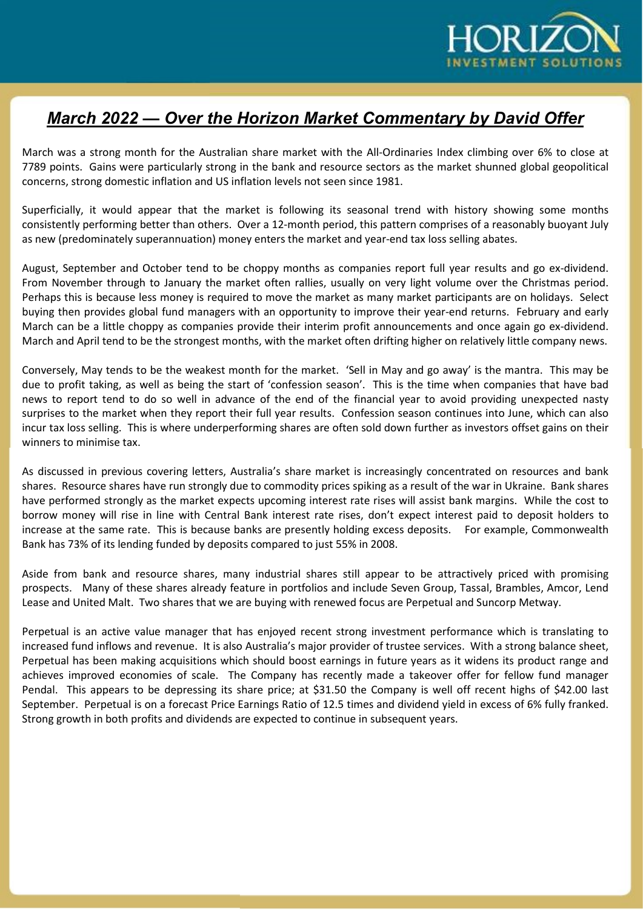

## March 2022 — Over the Horizon Market Commentary by David Offer

March was a strong month for the Australian share market with the All-Ordinaries Index climbing over 6% to close at 7789 points. Gains were particularly strong in the bank and resource sectors as the market shunned global geopolitical concerns, strong domestic inflation and US inflation levels not seen since 1981.

Superficially, it would appear that the market is following its seasonal trend with history showing some months consistently performing better than others. Over a 12-month period, this pattern comprises of a reasonably buoyant July as new (predominately superannuation) money enters the market and year-end tax loss selling abates.

August, September and October tend to be choppy months as companies report full year results and go ex-dividend. From November through to January the market often rallies, usually on very light volume over the Christmas period. Perhaps this is because less money is required to move the market as many market participants are on holidays. Select buying then provides global fund managers with an opportunity to improve their year-end returns. February and early March can be a little choppy as companies provide their interim profit announcements and once again go ex-dividend. March and April tend to be the strongest months, with the market often drifting higher on relatively little company news.

Conversely, May tends to be the weakest month for the market. 'Sell in May and go away' is the mantra. This may be due to profit taking, as well as being the start of 'confession season'. This is the time when companies that have bad news to report tend to do so well in advance of the end of the financial year to avoid providing unexpected nasty surprises to the market when they report their full year results. Confession season continues into June, which can also incur tax loss selling. This is where underperforming shares are often sold down further as investors offset gains on their winners to minimise tax.

As discussed in previous covering letters, Australia's share market is increasingly concentrated on resources and bank shares. Resource shares have run strongly due to commodity prices spiking as a result of the war in Ukraine. Bank shares have performed strongly as the market expects upcoming interest rate rises will assist bank margins. While the cost to borrow money will rise in line with Central Bank interest rate rises, don't expect interest paid to deposit holders to increase at the same rate. This is because banks are presently holding excess deposits. For example, Commonwealth Bank has 73% of its lending funded by deposits compared to just 55% in 2008.

Aside from bank and resource shares, many industrial shares still appear to be attractively priced with promising prospects. Many of these shares already feature in portfolios and include Seven Group, Tassal, Brambles, Amcor, Lend Lease and United Malt. Two shares that we are buying with renewed focus are Perpetual and Suncorp Metway.

Perpetual is an active value manager that has enjoyed recent strong investment performance which is translating to increased fund inflows and revenue. It is also Australia's major provider of trustee services. With a strong balance sheet, Perpetual has been making acquisitions which should boost earnings in future years as it widens its product range and achieves improved economies of scale. The Company has recently made a takeover offer for fellow fund manager Pendal. This appears to be depressing its share price; at \$31.50 the Company is well off recent highs of \$42.00 last September. Perpetual is on a forecast Price Earnings Ratio of 12.5 times and dividend yield in excess of 6% fully franked. Strong growth in both profits and dividends are expected to continue in subsequent years.